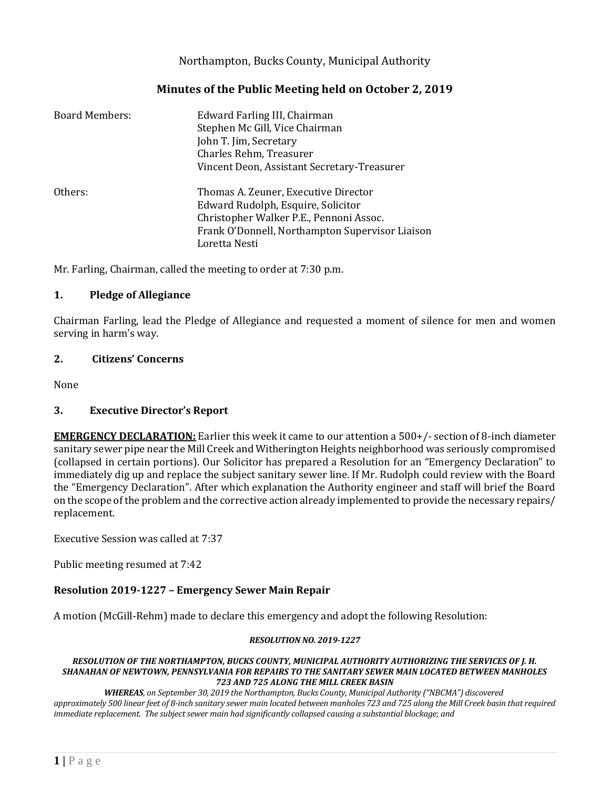## Northampton, Bucks County, Municipal Authority

## **Minutes of the Public Meeting held on October 2, 2019**

| <b>Board Members:</b> | Edward Farling III, Chairman<br>Stephen Mc Gill, Vice Chairman<br>John T. Jim, Secretary<br>Charles Rehm, Treasurer<br>Vincent Deon, Assistant Secretary-Treasurer                        |
|-----------------------|-------------------------------------------------------------------------------------------------------------------------------------------------------------------------------------------|
| Others:               | Thomas A. Zeuner, Executive Director<br>Edward Rudolph, Esquire, Solicitor<br>Christopher Walker P.E., Pennoni Assoc.<br>Frank O'Donnell, Northampton Supervisor Liaison<br>Loretta Nesti |

Mr. Farling, Chairman, called the meeting to order at 7:30 p.m.

#### **1. Pledge of Allegiance**

Chairman Farling, lead the Pledge of Allegiance and requested a moment of silence for men and women serving in harm's way.

#### **2. Citizens' Concerns**

None

## **3. Executive Director's Report**

**EMERGENCY DECLARATION:** Earlier this week it came to our attention a 500+/- section of 8-inch diameter sanitary sewer pipe near the Mill Creek and Witherington Heights neighborhood was seriously compromised (collapsed in certain portions). Our Solicitor has prepared a Resolution for an "Emergency Declaration" to immediately dig up and replace the subject sanitary sewer line. If Mr. Rudolph could review with the Board the "Emergency Declaration". After which explanation the Authority engineer and staff will brief the Board on the scope of the problem and the corrective action already implemented to provide the necessary repairs/ replacement.

Executive Session was called at 7:37

Public meeting resumed at 7:42

## **Resolution 2019-1227 – Emergency Sewer Main Repair**

A motion (McGill-Rehm) made to declare this emergency and adopt the following Resolution:

#### *RESOLUTION NO. 2019-1227*

#### *RESOLUTION OF THE NORTHAMPTON, BUCKS COUNTY, MUNICIPAL AUTHORITY AUTHORIZING THE SERVICES OF J. H. SHANAHAN OF NEWTOWN, PENNSYLVANIA FOR REPAIRS TO THE SANITARY SEWER MAIN LOCATED BETWEEN MANHOLES 723 AND 725 ALONG THE MILL CREEK BASIN*

*WHEREAS, on September 30, 2019 the Northampton, Bucks County, Municipal Authority ("NBCMA") discovered approximately 500 linear feet of 8-inch sanitary sewer main located between manholes 723 and 725 along the Mill Creek basin that required immediate replacement. The subject sewer main had significantly collapsed causing a substantial blockage; and*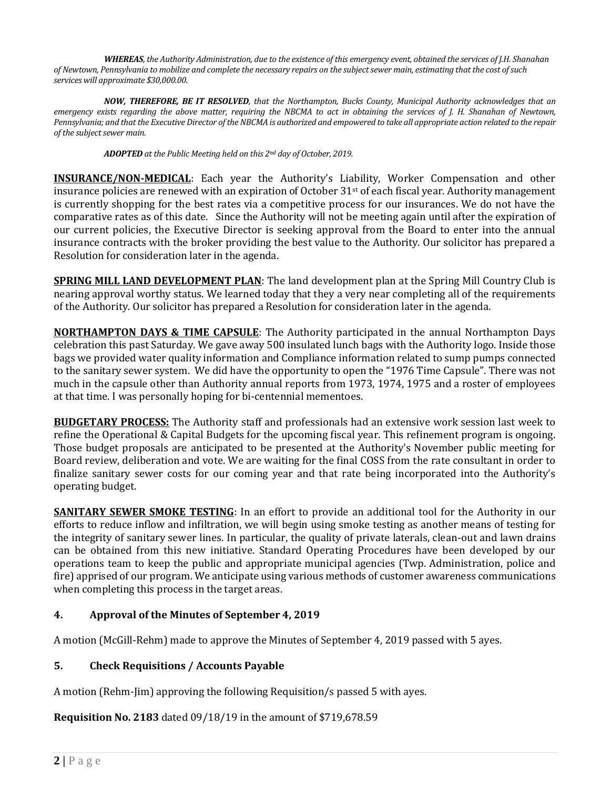*WHEREAS, the Authority Administration, due to the existence of this emergency event, obtained the services of J.H. Shanahan of Newtown, Pennsylvania to mobilize and complete the necessary repairs on the subject sewer main, estimating that the cost of such services will approximate \$30,000.00.*

*NOW, THEREFORE, BE IT RESOLVED, that the Northampton, Bucks County, Municipal Authority acknowledges that an emergency exists regarding the above matter, requiring the NBCMA to act in obtaining the services of J. H. Shanahan of Newtown, Pennsylvania; and that the Executive Director of the NBCMA is authorized and empowered to take all appropriate action related to the repair of the subject sewer main.*

*ADOPTED at the Public Meeting held on this 2nd day of October, 2019.* 

**INSURANCE/NON-MEDICAL**: Each year the Authority's Liability, Worker Compensation and other insurance policies are renewed with an expiration of October  $31<sup>st</sup>$  of each fiscal year. Authority management is currently shopping for the best rates via a competitive process for our insurances. We do not have the comparative rates as of this date. Since the Authority will not be meeting again until after the expiration of our current policies, the Executive Director is seeking approval from the Board to enter into the annual insurance contracts with the broker providing the best value to the Authority. Our solicitor has prepared a Resolution for consideration later in the agenda.

**SPRING MILL LAND DEVELOPMENT PLAN**: The land development plan at the Spring Mill Country Club is nearing approval worthy status. We learned today that they a very near completing all of the requirements of the Authority. Our solicitor has prepared a Resolution for consideration later in the agenda.

**NORTHAMPTON DAYS & TIME CAPSULE**: The Authority participated in the annual Northampton Days celebration this past Saturday. We gave away 500 insulated lunch bags with the Authority logo. Inside those bags we provided water quality information and Compliance information related to sump pumps connected to the sanitary sewer system. We did have the opportunity to open the "1976 Time Capsule". There was not much in the capsule other than Authority annual reports from 1973, 1974, 1975 and a roster of employees at that time. I was personally hoping for bi-centennial mementoes.

**BUDGETARY PROCESS:** The Authority staff and professionals had an extensive work session last week to refine the Operational & Capital Budgets for the upcoming fiscal year. This refinement program is ongoing. Those budget proposals are anticipated to be presented at the Authority's November public meeting for Board review, deliberation and vote. We are waiting for the final COSS from the rate consultant in order to finalize sanitary sewer costs for our coming year and that rate being incorporated into the Authority's operating budget.

**SANITARY SEWER SMOKE TESTING:** In an effort to provide an additional tool for the Authority in our efforts to reduce inflow and infiltration, we will begin using smoke testing as another means of testing for the integrity of sanitary sewer lines. In particular, the quality of private laterals, clean-out and lawn drains can be obtained from this new initiative. Standard Operating Procedures have been developed by our operations team to keep the public and appropriate municipal agencies (Twp. Administration, police and fire) apprised of our program. We anticipate using various methods of customer awareness communications when completing this process in the target areas.

# **4. Approval of the Minutes of September 4, 2019**

A motion (McGill-Rehm) made to approve the Minutes of September 4, 2019 passed with 5 ayes.

# **5. Check Requisitions / Accounts Payable**

A motion (Rehm-Jim) approving the following Requisition/s passed 5 with ayes.

**Requisition No. 2183** dated 09/18/19 in the amount of \$719,678.59